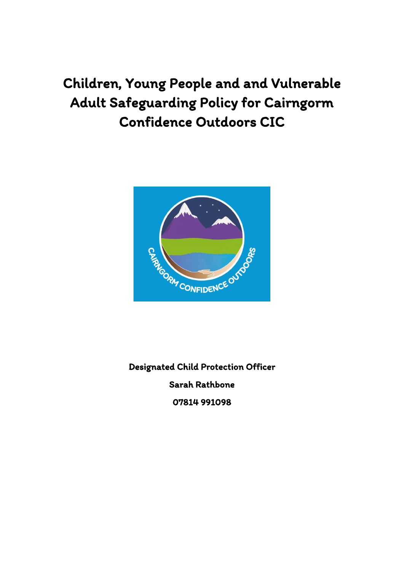# Children, Young People and and Vulnerable Adult Safeguarding Policy for Cairngorm Confidence Outdoors CIC



Designated Child Protection Officer Sarah Rathbone 07814 991098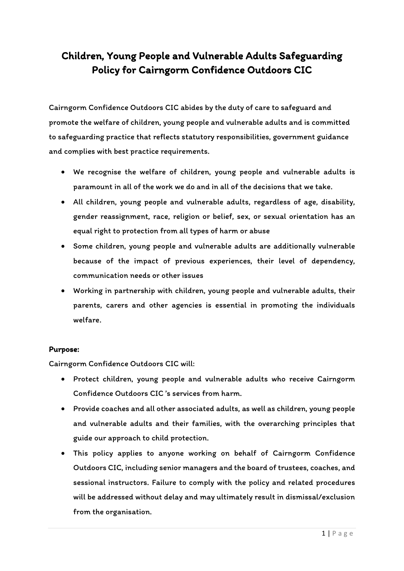# Children, Young People and Vulnerable Adults Safeguarding Policy for Cairngorm Confidence Outdoors CIC

Cairngorm Confidence Outdoors CIC abides by the duty of care to safeguard and promote the welfare of children, young people and vulnerable adults and is committed to safeguarding practice that reflects statutory responsibilities, government guidance and complies with best practice requirements.

- We recognise the welfare of children, young people and vulnerable adults is paramount in all of the work we do and in all of the decisions that we take.
- All children, young people and vulnerable adults, regardless of age, disability, gender reassignment, race, religion or belief, sex, or sexual orientation has an equal right to protection from all types of harm or abuse
- Some children, young people and vulnerable adults are additionally vulnerable because of the impact of previous experiences, their level of dependency, communication needs or other issues
- Working in partnership with children, young people and vulnerable adults, their parents, carers and other agencies is essential in promoting the individuals welfare.

#### Purpose:

Cairngorm Confidence Outdoors CIC will:

- Protect children, young people and vulnerable adults who receive Cairngorm Confidence Outdoors CIC 's services from harm.
- Provide coaches and all other associated adults, as well as children, young people and vulnerable adults and their families, with the overarching principles that guide our approach to child protection.
- This policy applies to anyone working on behalf of Cairngorm Confidence Outdoors CIC, including senior managers and the board of trustees, coaches, and sessional instructors. Failure to comply with the policy and related procedures will be addressed without delay and may ultimately result in dismissal/exclusion from the organisation.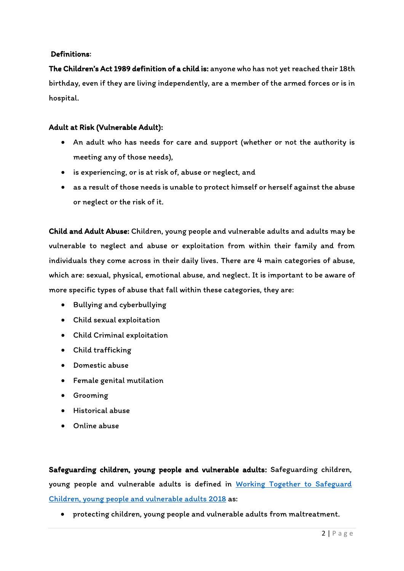# Definitions:

The Children's Act 1989 definition of a child is: anyone who has not yet reached their 18th birthday, even if they are living independently, are a member of the armed forces or is in hospital.

# Adult at Risk (Vulnerable Adult):

- An adult who has needs for care and support (whether or not the authority is meeting any of those needs),
- is experiencing, or is at risk of, abuse or neglect, and
- as a result of those needs is unable to protect himself or herself against the abuse or neglect or the risk of it.

Child and Adult Abuse: Children, young people and vulnerable adults and adults may be vulnerable to neglect and abuse or exploitation from within their family and from individuals they come across in their daily lives. There are 4 main categories of abuse, which are: sexual, physical, emotional abuse, and neglect. It is important to be aware of more specific types of abuse that fall within these categories, they are:

- Bullying and cyberbullying
- Child sexual exploitation
- Child Criminal exploitation
- Child trafficking
- Domestic abuse
- Female genital mutilation
- Grooming
- Historical abuse
- Online abuse

Safeguarding children, young people and vulnerable adults: Safeguarding children, young people and vulnerable adults is defined in [Working Together to Safeguard](https://www.gov.uk/government/publications/working-together-to-safeguard-children--2)  [Children, young people and vulnerable adults](https://www.gov.uk/government/publications/working-together-to-safeguard-children--2) 2018 as:

• protecting children, young people and vulnerable adults from maltreatment.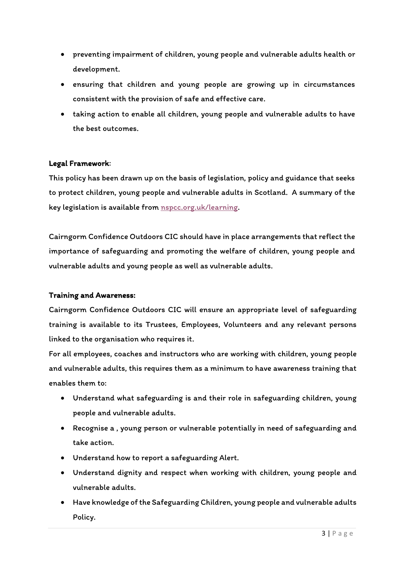- preventing impairment of children, young people and vulnerable adults health or development.
- ensuring that children and young people are growing up in circumstances consistent with the provision of safe and effective care.
- taking action to enable all children, young people and vulnerable adults to have the best outcomes.

### Legal Framework:

This policy has been drawn up on the basis of legislation, policy and guidance that seeks to protect children, young people and vulnerable adults in Scotland. A summary of the key legislation is available from [nspcc.org.uk/learning.](https://learning.nspcc.org.uk/)

Cairngorm Confidence Outdoors CIC should have in place arrangements that reflect the importance of safeguarding and promoting the welfare of children, young people and vulnerable adults and young people as well as vulnerable adults.

#### Training and Awareness:

Cairngorm Confidence Outdoors CIC will ensure an appropriate level of safeguarding training is available to its Trustees, Employees, Volunteers and any relevant persons linked to the organisation who requires it.

For all employees, coaches and instructors who are working with children, young people and vulnerable adults, this requires them as a minimum to have awareness training that enables them to:

- Understand what safeguarding is and their role in safeguarding children, young people and vulnerable adults.
- Recognise a , young person or vulnerable potentially in need of safeguarding and take action.
- Understand how to report a safeguarding Alert.
- Understand dignity and respect when working with children, young people and vulnerable adults.
- Have knowledge of the Safeguarding Children, young people and vulnerable adults Policy.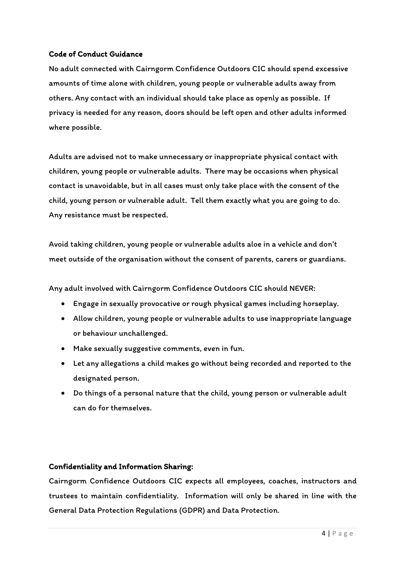# Code of Conduct Guidance

No adult connected with Cairngorm Confidence Outdoors CIC should spend excessive amounts of time alone with children, young people or vulnerable adults away from others. Any contact with an individual should take place as openly as possible. If privacy is needed for any reason, doors should be left open and other adults informed where possible.

Adults are advised not to make unnecessary or inappropriate physical contact with children, young people or vulnerable adults. There may be occasions when physical contact is unavoidable, but in all cases must only take place with the consent of the child, young person or vulnerable adult. Tell them exactly what you are going to do. Any resistance must be respected.

Avoid taking children, young people or vulnerable adults aloe in a vehicle and don't meet outside of the organisation without the consent of parents, carers or guardians.

Any adult involved with Cairngorm Confidence Outdoors CIC should NEVER:

- Engage in sexually provocative or rough physical games including horseplay.
- Allow children, young people or vulnerable adults to use inappropriate language or behaviour unchallenged.
- Make sexually suggestive comments, even in fun.
- Let any allegations a child makes go without being recorded and reported to the designated person.
- Do things of a personal nature that the child, young person or vulnerable adult can do for themselves.

#### Confidentiality and Information Sharing:

Cairngorm Confidence Outdoors CIC expects all employees, coaches, instructors and trustees to maintain confidentiality. Information will only be shared in line with the General Data Protection Regulations (GDPR) and Data Protection.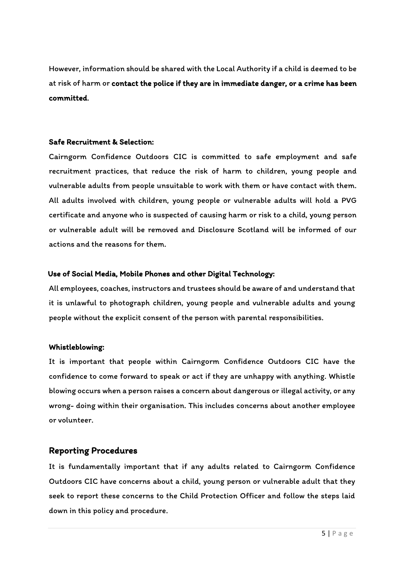However, information should be shared with the Local Authority if a child is deemed to be at risk of harm or contact the police if they are in immediate danger, or a crime has been committed.

### Safe Recruitment & Selection:

Cairngorm Confidence Outdoors CIC is committed to safe employment and safe recruitment practices, that reduce the risk of harm to children, young people and vulnerable adults from people unsuitable to work with them or have contact with them. All adults involved with children, young people or vulnerable adults will hold a PVG certificate and anyone who is suspected of causing harm or risk to a child, young person or vulnerable adult will be removed and Disclosure Scotland will be informed of our actions and the reasons for them.

### Use of Social Media, Mobile Phones and other Digital Technology:

All employees, coaches, instructors and trustees should be aware of and understand that it is unlawful to photograph children, young people and vulnerable adults and young people without the explicit consent of the person with parental responsibilities.

# Whistleblowing:

It is important that people within Cairngorm Confidence Outdoors CIC have the confidence to come forward to speak or act if they are unhappy with anything. Whistle blowing occurs when a person raises a concern about dangerous or illegal activity, or any wrong- doing within their organisation. This includes concerns about another employee or volunteer.

# Reporting Procedures

It is fundamentally important that if any adults related to Cairngorm Confidence Outdoors CIC have concerns about a child, young person or vulnerable adult that they seek to report these concerns to the Child Protection Officer and follow the steps laid down in this policy and procedure.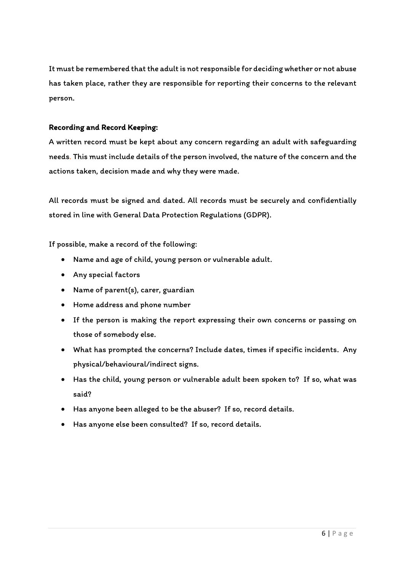It must be remembered that the adult is not responsible for deciding whether or not abuse has taken place, rather they are responsible for reporting their concerns to the relevant person.

# Recording and Record Keeping:

A written record must be kept about any concern regarding an adult with safeguarding needs. This must include details of the person involved, the nature of the concern and the actions taken, decision made and why they were made.

All records must be signed and dated. All records must be securely and confidentially stored in line with General Data Protection Regulations (GDPR).

If possible, make a record of the following:

- Name and age of child, young person or vulnerable adult.
- Any special factors
- Name of parent(s), carer, guardian
- Home address and phone number
- If the person is making the report expressing their own concerns or passing on those of somebody else.
- What has prompted the concerns? Include dates, times if specific incidents. Any physical/behavioural/indirect signs.
- Has the child, young person or vulnerable adult been spoken to? If so, what was said?
- Has anyone been alleged to be the abuser? If so, record details.
- Has anyone else been consulted? If so, record details.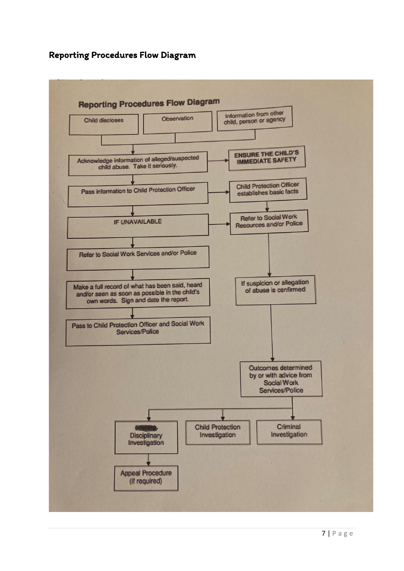# Reporting Procedures Flow Diagram

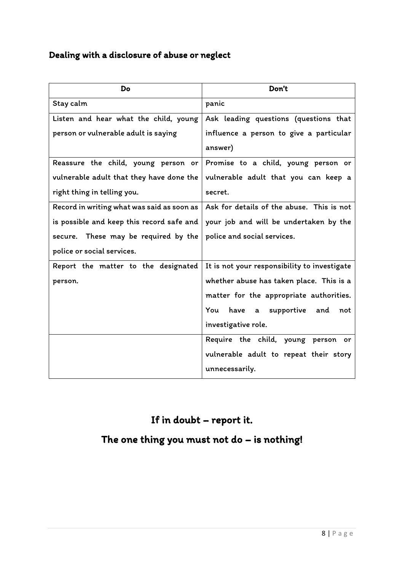# Dealing with a disclosure of abuse or neglect

| Do                                         | Don't                                        |
|--------------------------------------------|----------------------------------------------|
| Stay calm                                  | panic                                        |
| Listen and hear what the child, young      | Ask leading questions (questions that        |
| person or vulnerable adult is saying       | influence a person to give a particular      |
|                                            | answer)                                      |
| Reassure the child, young person or        | Promise to a child, young person or          |
| vulnerable adult that they have done the   | vulnerable adult that you can keep a         |
| right thing in telling you.                | secret.                                      |
| Record in writing what was said as soon as | Ask for details of the abuse. This is not    |
| is possible and keep this record safe and  | your job and will be undertaken by the       |
| secure. These may be required by the       | police and social services.                  |
| police or social services.                 |                                              |
| Report the matter to the designated        | It is not your responsibility to investigate |
| person.                                    | whether abuse has taken place. This is a     |
|                                            | matter for the appropriate authorities.      |
|                                            | You<br>have a<br>supportive and<br>not       |
|                                            | investigative role.                          |
|                                            | Require the child, young person or           |
|                                            | vulnerable adult to repeat their story       |
|                                            | unnecessarily.                               |

# If in doubt – report it.

# The one thing you must not do – is nothing!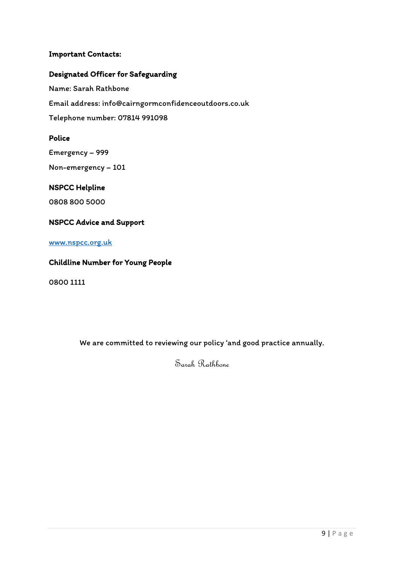# Important Contacts:

# Designated Officer for Safeguarding

Name: Sarah Rathbone Email address: info@cairngormconfidenceoutdoors.co.uk Telephone number: 07814 991098

# Police

Emergency – 999 Non-emergency – 101

### NSPCC Helpline

0808 800 5000

# NSPCC Advice and Support

# [www.nspcc.org.uk](http://www.nspcc.org.uk/)

# Childline Number for Young People

0800 1111

We are committed to reviewing our policy 'and good practice annually.

Sarah Rathbone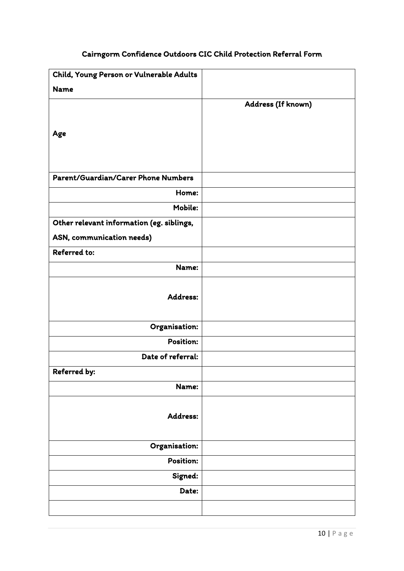# Cairngorm Confidence Outdoors CIC Child Protection Referral Form

| Child, Young Person or Vulnerable Adults  |                    |
|-------------------------------------------|--------------------|
| <b>Name</b>                               |                    |
|                                           | Address (If known) |
| Age                                       |                    |
|                                           |                    |
| Parent/Guardian/Carer Phone Numbers       |                    |
| Home:                                     |                    |
| Mobile:                                   |                    |
| Other relevant information (eg. siblings, |                    |
| ASN, communication needs)                 |                    |
| <b>Referred to:</b>                       |                    |
| Name:                                     |                    |
| Address:                                  |                    |
| Organisation:                             |                    |
| Position:                                 |                    |
| Date of referral:                         |                    |
| Referred by:                              |                    |
| Name:                                     |                    |
| Address:                                  |                    |
| Organisation:                             |                    |
| Position:                                 |                    |
| Signed:                                   |                    |
| Date:                                     |                    |
|                                           |                    |
|                                           |                    |